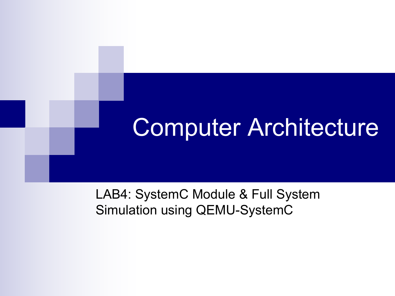# Computer Architecture

LAB4: SystemC Module & Full System Simulation using QEMU-SystemC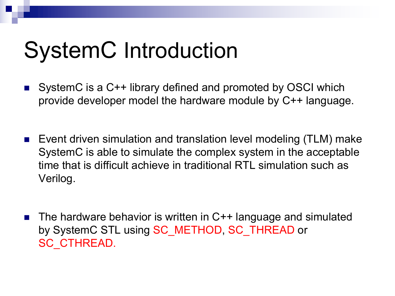# SystemC Introduction

- **SystemC** is a C++ library defined and promoted by OSCI which provide developer model the hardware module by C++ language.
- **E** Event driven simulation and translation level modeling (TLM) make SystemC is able to simulate the complex system in the acceptable time that is difficult achieve in traditional RTL simulation such as Verilog.
- n The hardware behavior is written in C++ language and simulated by SystemC STL using SC\_METHOD, SC\_THREAD or SC\_CTHREAD.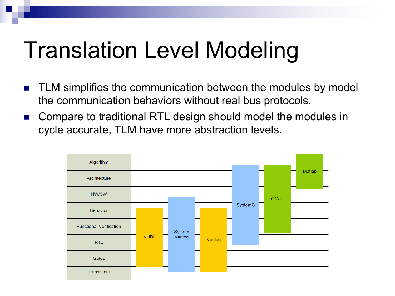# Translation Level Modeling

- TLM simplifies the communication between the modules by model the communication behaviors without real bus protocols.
- Compare to traditional RTL design should model the modules in cycle accurate, TLM have more abstraction levels.

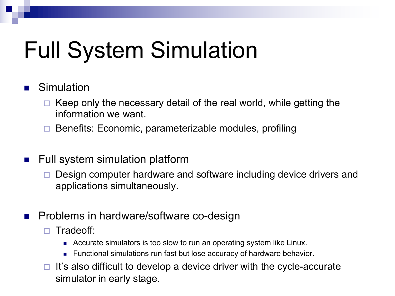# Full System Simulation

### **Simulation**

- Keep only the necessary detail of the real world, while getting the information we want.
- $\Box$  Benefits: Economic, parameterizable modules, profiling
- $\blacksquare$  Full system simulation platform
	- Design computer hardware and software including device drivers and applications simultaneously.
- **n** Problems in hardware/software co-design
	- □ Tradeoff:
		- Accurate simulators is too slow to run an operating system like Linux.
		- Functional simulations run fast but lose accuracy of hardware behavior.
	- $\Box$  It's also difficult to develop a device driver with the cycle-accurate simulator in early stage.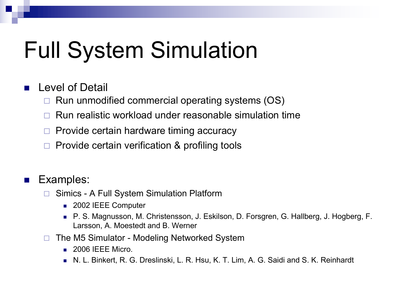# Full System Simulation

### **Level of Detail**

- $\Box$  Run unmodified commercial operating systems (OS)
- $\Box$  Run realistic workload under reasonable simulation time
- Provide certain hardware timing accuracy
- Provide certain verification & profiling tools

### **n** Examples:

- $\Box$  Simics A Full System Simulation Platform
	- 2002 IEEE Computer
	- n P. S. Magnusson, M. Christensson, J. Eskilson, D. Forsgren, G. Hallberg, J. Hogberg, F. Larsson, A. Moestedt and B. Werner
- $\Box$  The M5 Simulator Modeling Networked System
	- $\Box$  2006 IEEE Micro.
	- **N. L. Binkert, R. G. Dreslinski, L. R. Hsu, K. T. Lim, A. G. Saidi and S. K. Reinhardt**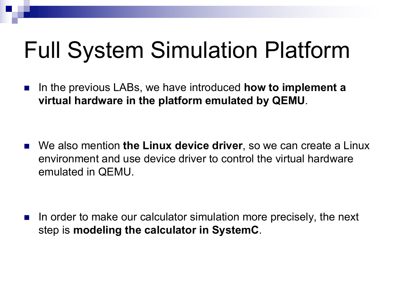# Full System Simulation Platform

■ In the previous LABs, we have introduced **how to implement a virtual hardware in the platform emulated by QEMU**.

n We also mention **the Linux device driver**, so we can create a Linux environment and use device driver to control the virtual hardware emulated in QEMU.

In order to make our calculator simulation more precisely, the next step is **modeling the calculator in SystemC**.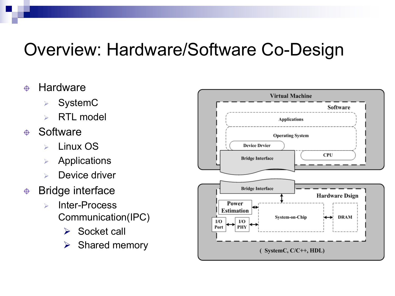## Overview: Hardware/Software Co-Design

#### **Hardware** </u>

- **SystemC**
- $\triangleright$  RTL model

#### **Software**  $\oplus$

- Ø Linux OS
- $\triangleright$  Applications
- Device driver

#### Bridge interface  $\bigoplus$

- $\triangleright$  Inter-Process Communication(IPC)
	- $\triangleright$  Socket call
	- $\triangleright$  Shared memory

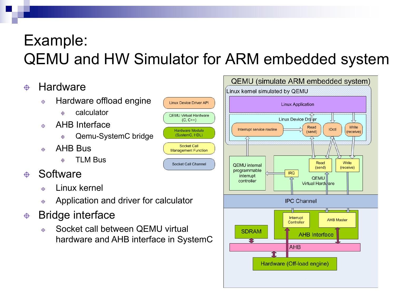## Example: QEMU and HW Simulator for ARM embedded system

**Linux Device Driver API** 

**QEMU Virtual Hardware** 

 $(C, C++)$ 

**Hardware Module** 

(SystemC, HDL)

**Socket Call** 

**Management Function** 

**Socket Call Channel** 

#### **Hardware**  $\oplus$

- Hardware offload engine  $\ddot{\Phi}$ 
	- calculator  $\ddot{\theta}$
- AHB Interface  $\bigoplus$ 
	- Qemu-SystemC bridge  $\bigoplus$
- AHB Bus  $\bigoplus$ 
	- TLM Bus  $\oplus$

#### **Software**  $\oplus$

- Linux kernel  $\bigoplus$
- Application and driver for calculator  $\oplus$
- Bridge interface  $\oplus$ 
	- Socket call between QEMU virtual  $\bigoplus$ hardware and AHB interface in SystemC

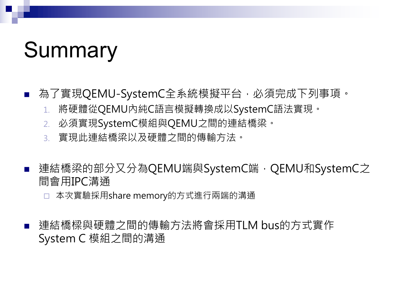# Summary

- 為了實現QEMU-SystemC全系統模擬平台,必須完成下列事項。
	- 1. 將硬體從QEMU內純C語言模擬轉換成以SystemC語法實現。
	- 2. 必須實現SystemC模組與QEMU之間的連結橋梁。
	- 3. 實現此連結橋梁以及硬體之間的傳輸方法。
- 連結橋梁的部分又分為QEMU端與SystemC端, QEMU和SystemC之 間會用IPC溝通
	- 本次實驗採用share memory的方式進行兩端的溝通
- n 連結橋樑與硬體之間的傳輸方法將會採用TLM bus的方式實作 System C 模組之間的溝通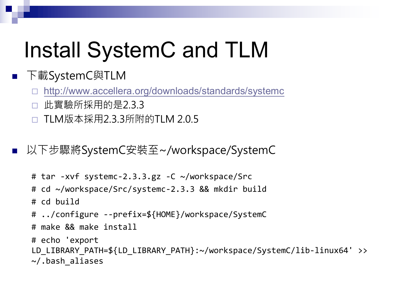# Install SystemC and TLM

## ■ 下載SystemC與TLM

□ <http://www.accellera.org/downloads/standards/systemc>

- □ 此實驗所採用的是2.3.3
- □ TLM版本採用2.3.3所附的TLM 2.0.5

■ 以下步驟將SystemC安裝至~/workspace/SystemC

```
# tar -xvf systemc-2.3.3.gz -C ~/workspace/Src
# cd ~/workspace/Src/systemc-2.3.3 && mkdir build
# cd build
# ../configure --prefix=${HOME}/workspace/SystemC
# make && make install
# echo 'export
```

```
LD LIBRARY PATH=${LD LIBRARY PATH}:~/workspace/SystemC/lib-linux64' >>
~/.bash_aliases
```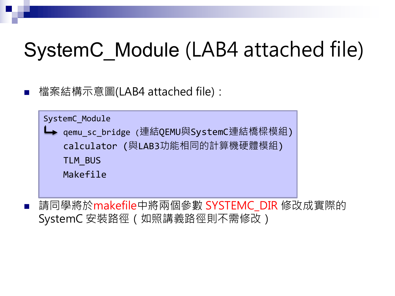## SystemC\_Module (LAB4 attached file)

n 檔案結構示意圖(LAB4 attached file):

SystemC\_Module qemu\_sc\_bridge (連結QEMU與SystemC連結橋樑模組) calculator (與LAB3功能相同的計算機硬體模組) TLM\_BUS Makefile

 $\hat{\mathbb{E}}$  . 请同學將於makefile中將兩個參數 SYSTEMC\_DIR 修改成實際的 SystemC 安裝路徑(如照講義路徑則不需修改)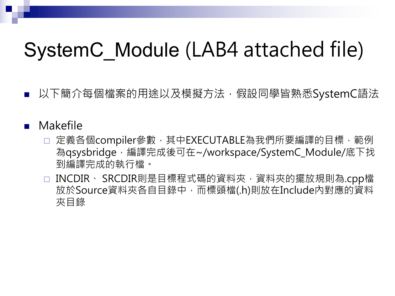## SystemC\_Module (LAB4 attached file)

以下簡介每個檔案的用途以及模擬方法,假設同學皆熟悉SystemC語法

### **Makefile**

- □ 定義各個compiler參數,其中EXECUTABLE為我們所要編譯的目標,範例 為qsysbridge,編譯完成後可在~/workspace/SystemC\_Module/底下找 到編譯完成的執行檔。
- □ INCDIR、 SRCDIR則是目標程式碼的資料夾, 資料夾的擺放規則為.cpp檔 放於Source資料夾各自目錄中,而標頭檔(.h)則放在Include內對應的資料 夾目錄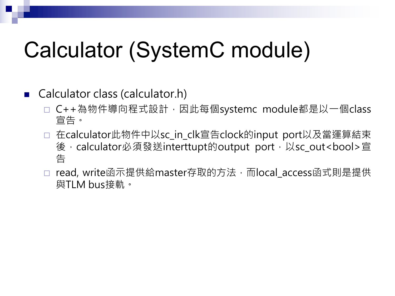# Calculator (SystemC module)

### ■ Calculator class (calculator.h)

- □ C++為物件導向程式設計, 因此每個systemc module都是以一個class 宣告。
- □ 在calculator此物件中以sc\_in\_clk宣告clock的input port以及當運算結束 後, calculator必須發送interttupt的output port, 以sc\_out<bool>宣 告
- □ read, write函示提供給master存取的方法, 而local\_access函式則是提供 與TLM bus接軌。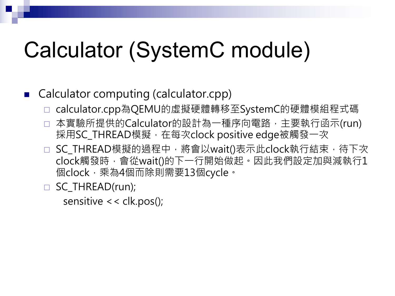# Calculator (SystemC module)

## ■ Calculator computing (calculator.cpp)

- □ calculator.cpp為QEMU的虛擬硬體轉移至SystemC的硬體模組程式碼
- □ 本實驗所提供的Calculator的設計為一種序向電路,主要執行函示(run) 採用SC\_THREAD模擬,在每次clock positive edge被觸發一次
- □ SC\_THREAD模擬的過程中,將會以wait()表示此clock執行結束,待下次 clock觸發時,會從wait()的下一行開始做起。因此我們設定加與減執行1 個clock,乘為4個而除則需要13個cycle。
- □ SC\_THREAD(run);

sensitive << clk.pos();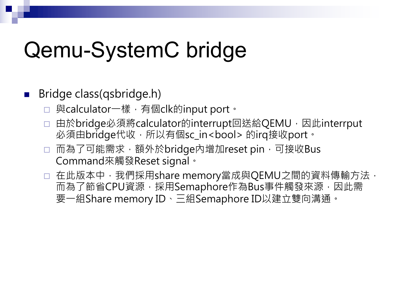# Qemu-SystemC bridge

## Bridge class(qsbridge.h)

- □ 與calculator一樣,有個clk的input port。
- □ 由於bridge必須將calculator的interrupt回送給QEMU, 因此interrput 必須由bridge代收,所以有個sc\_in<bool>的irq接收port。
- □ 而為了可能需求,額外於bridge内增加reset pin,可接收Bus Command來觸發Reset signal。
- □ 在此版本中, 我們採用share memory當成與QEMU之間的資料傳輸方法, 而為了節省CPU資源,採用Semaphore作為Bus事件觸發來源,因此需 要一組Share memory ID、三組Semaphore ID以建立雙向溝通。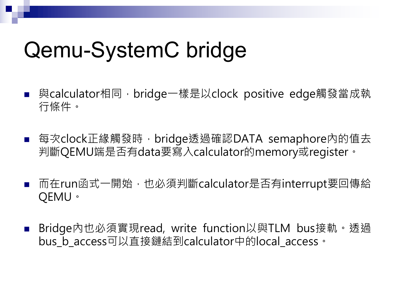# Qemu-SystemC bridge

- 與calculator相同, bridge一樣是以clock positive edge觸發當成執 行條件。
- 每次clock正緣觸發時,bridge透過確認DATA semaphore內的值去 判斷QEMU端是否有data要寫入calculator的memory或register。
- 而在run函式一開始,也必須判斷calculator是否有interrupt要回傳給 QEMU。
- n Bridge內也必須實現read, write function以與TLM bus接軌。透過 bus b access可以直接鏈結到calculator中的local access。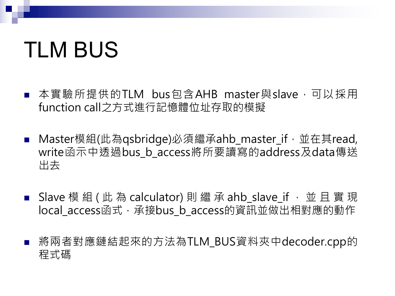# TLM BUS

- 本實驗所提供的TLM bus包含AHB master與slave,可以採用 function call之方式進行記憶體位址存取的模擬
- Master模組(此為qsbridge)必須繼承ahb\_master\_if,並在其read, write函示中透過bus b access將所要讀寫的address及data傳送 出去
- Slave 模 組 ( 此 為 calculator) 則 繼 承 ahb\_slave\_if , 並 且 實 現 local access函式,承接bus b access的資訊並做出相對應的動作
- 將兩者對應鏈結起來的方法為TLM\_BUS資料夾中decoder.cpp的 程式碼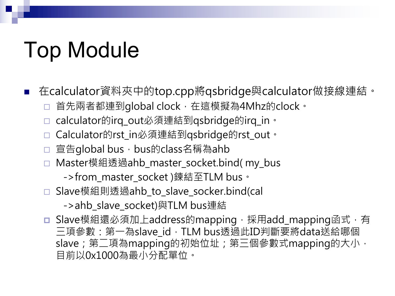# Top Module

n 在calculator資料夾中的top.cpp將qsbridge與calculator做接線連結。

- 首先兩者都連到global clock,在這模擬為4Mhz的clock。
- calculator的irq\_out必須連結到qsbridge的irq\_in。
- ¨ Calculator的rst\_in必須連結到qsbridge的rst\_out。
- □ 宣告global bus, bus的class名稱為ahb
- □ Master模組透過ahb\_master\_socket.bind(my\_bus
	- ->from\_master\_socket )鍊結至TLM bus。
- □ Slave模組則透過ahb\_to\_slave\_socker.bind(cal

->ahb\_slave\_socket)與TLM bus連結

□ Slave模組還必須加上address的mapping, 採用add\_mapping函式, 有 三項參數: 第一為slave\_id, TLM bus透過此ID判斷要將data送給哪個 slave; 第二項為mapping的初始位址; 第三個參數式mapping的大小, 目前以0x1000為最小分配單位。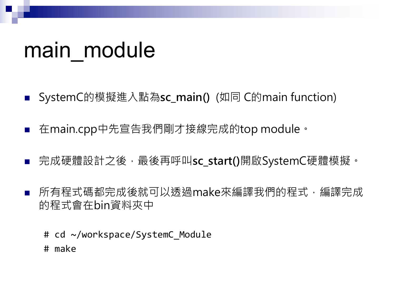## main module

- n SystemC的模擬進入點為**sc\_main()** (如同 C的main function)
- n 在main.cpp中先宣告我們剛才接線完成的top module。
- 完成硬體設計之後,最後再呼叫**sc\_start()**開啟SystemC硬體模擬。
- 所有程式碼都完成後就可以透過make來編譯我們的程式, 編譯完成 的程式會在bin資料夾中
	- # cd ~/workspace/SystemC Module
	- # make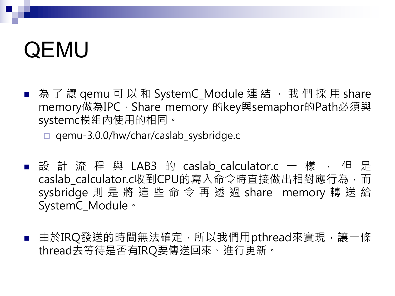# QEMU

■ 為了讓 qemu 可以和 SystemC\_Module 連結, 我們採用 share memory做為IPC, Share memory 的key與semaphor的Path必須與 systemc模組內使用的相同。

¨ qemu-3.0.0/hw/char/caslab\_sysbridge.c

- 設 計 流 程 與 LAB3 的 caslab\_calculator.c 一 樣 , 但 是 caslab calculator.c收到CPU的寫入命令時直接做出相對應行為,而 sysbridge 則是將這些命令再透過 share memory 轉送給 SystemC\_Module。
- 由於IRQ發送的時間無法確定,所以我們用pthread來實現,讓一條 thread去等待是否有IRQ要傳送回來、進行更新。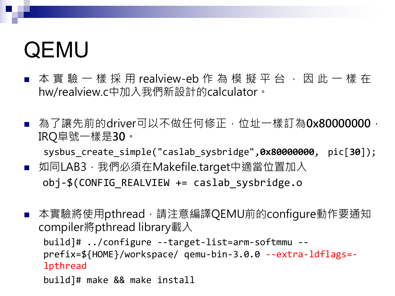# QEMU

- 本實驗一樣採用 realview-eb 作 為 模 擬 平 台 , 因 此 一 樣 在 hw/realview.c中加入我們新設計的calculator。
- 為了讓先前的driver可以不做任何修正, 位址一樣訂為0x80000000, IRQ阜號一樣是**30**。

sysbus\_create\_simple("caslab\_sysbridge",**0x80000000**, pic[**30**]);

- 如同LAB3,我們必須在Makefile.target中適當位置加入 obj-\$(CONFIG\_REALVIEW += caslab\_sysbridge.o
- 本實驗將使用pthread,請注意編譯QEMU前的configure動作要通知 compiler將pthread library載入

build]# ../configure --target-list=arm-softmmu - prefix=\${HOME}/workspace/ qemu-bin-3.0.0 --extra-ldflags= lpthread

build]# make && make install